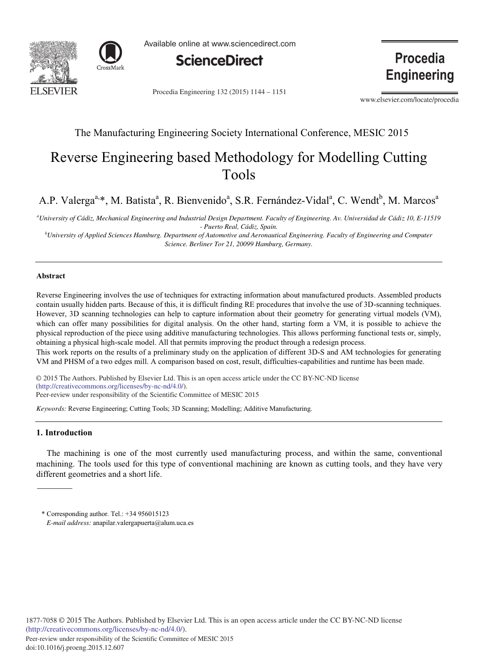



Available online at www.sciencedirect.com



Procedia Engineering 132 (2015) 1144 - 1151

**Procedia Engineering** 

www.elsevier.com/locate/procedia

## The Manufacturing Engineering Society International Conference, MESIC 2015

# Reverse Engineering based Methodology for Modelling Cutting Tools

A.P. Valerga<sup>a,\*</sup>, M. Batista<sup>a</sup>, R. Bienvenido<sup>a</sup>, S.R. Fernández-Vidal<sup>a</sup>, C. Wendt<sup>b</sup>, M. Marcos<sup>a</sup>

*a University of Cádiz, Mechanical Engineering and Industrial Design Department. Faculty of Engineering. Av. Universidad de Cádiz 10, E-11519 - Puerto Real, Cádiz, Spain.*

*b University of Applied Sciences Hamburg. Department of Automotive and Aeronautical Engineering. Faculty of Engineering and Computer Science. Berliner Tor 21, 20099 Hamburg, Germany.*

### **Abstract**

Reverse Engineering involves the use of techniques for extracting information about manufactured products. Assembled products contain usually hidden parts. Because of this, it is difficult finding RE procedures that involve the use of 3D-scanning techniques. However, 3D scanning technologies can help to capture information about their geometry for generating virtual models (VM), which can offer many possibilities for digital analysis. On the other hand, starting form a VM, it is possible to achieve the physical reproduction of the piece using additive manufacturing technologies. This allows performing functional tests or, simply, obtaining a physical high-scale model. All that permits improving the product through a redesign process.

This work reports on the results of a preliminary study on the application of different 3D-S and AM technologies for generating VM and PHSM of a two edges mill. A comparison based on cost, result, difficulties-capabilities and runtime has been made.

© 2016 The Authors. Published by Elsevier Ltd. © 2015 The Authors. Published by Elsevier Ltd. This is an open access article under the CC BY-NC-ND license Peer-review under responsibility of the Scientific Committee of MESIC 2015. Peer-review under responsibility of the Scientific Committee of MESIC 2015(http://creativecommons.org/licenses/by-nc-nd/4.0/).

*Keywords:* Reverse Engineering; Cutting Tools; 3D Scanning; Modelling; Additive Manufacturing.

### **1. Introduction**

The machining is one of the most currently used manufacturing process, and within the same, conventional machining. The tools used for this type of conventional machining are known as cutting tools, and they have very different geometries and a short life.

<sup>\*</sup> Corresponding author. Tel.: +34 956015123 *E-mail address:* anapilar.valergapuerta@alum.uca.es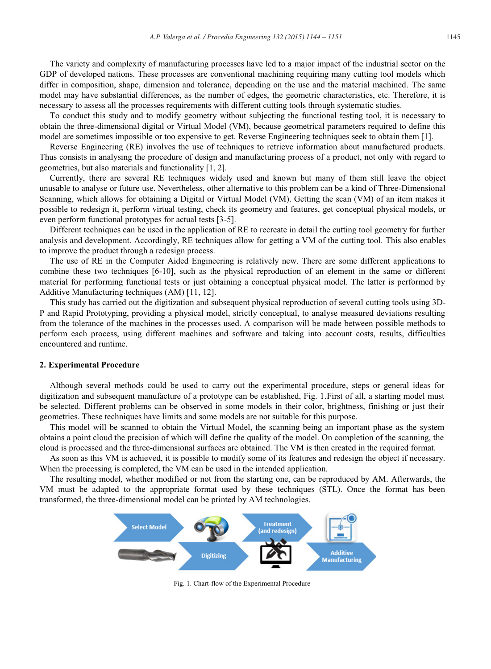The variety and complexity of manufacturing processes have led to a major impact of the industrial sector on the GDP of developed nations. These processes are conventional machining requiring many cutting tool models which differ in composition, shape, dimension and tolerance, depending on the use and the material machined. The same model may have substantial differences, as the number of edges, the geometric characteristics, etc. Therefore, it is necessary to assess all the processes requirements with different cutting tools through systematic studies.

To conduct this study and to modify geometry without subjecting the functional testing tool, it is necessary to obtain the three-dimensional digital or Virtual Model (VM), because geometrical parameters required to define this model are sometimes impossible or too expensive to get. Reverse Engineering techniques seek to obtain them [1].

Reverse Engineering (RE) involves the use of techniques to retrieve information about manufactured products. Thus consists in analysing the procedure of design and manufacturing process of a product, not only with regard to geometries, but also materials and functionality [1, 2].

Currently, there are several RE techniques widely used and known but many of them still leave the object unusable to analyse or future use. Nevertheless, other alternative to this problem can be a kind of Three-Dimensional Scanning, which allows for obtaining a Digital or Virtual Model (VM). Getting the scan (VM) of an item makes it possible to redesign it, perform virtual testing, check its geometry and features, get conceptual physical models, or even perform functional prototypes for actual tests [3-5].

Different techniques can be used in the application of RE to recreate in detail the cutting tool geometry for further analysis and development. Accordingly, RE techniques allow for getting a VM of the cutting tool. This also enables to improve the product through a redesign process.

The use of RE in the Computer Aided Engineering is relatively new. There are some different applications to combine these two techniques [6-10], such as the physical reproduction of an element in the same or different material for performing functional tests or just obtaining a conceptual physical model. The latter is performed by Additive Manufacturing techniques (AM) [11, 12].

This study has carried out the digitization and subsequent physical reproduction of several cutting tools using 3D-P and Rapid Prototyping, providing a physical model, strictly conceptual, to analyse measured deviations resulting from the tolerance of the machines in the processes used. A comparison will be made between possible methods to perform each process, using different machines and software and taking into account costs, results, difficulties encountered and runtime.

### **2. Experimental Procedure**

Although several methods could be used to carry out the experimental procedure, steps or general ideas for digitization and subsequent manufacture of a prototype can be established, Fig. 1.First of all, a starting model must be selected. Different problems can be observed in some models in their color, brightness, finishing or just their geometries. These techniques have limits and some models are not suitable for this purpose.

This model will be scanned to obtain the Virtual Model, the scanning being an important phase as the system obtains a point cloud the precision of which will define the quality of the model. On completion of the scanning, the cloud is processed and the three-dimensional surfaces are obtained. The VM is then created in the required format.

As soon as this VM is achieved, it is possible to modify some of its features and redesign the object if necessary. When the processing is completed, the VM can be used in the intended application.

The resulting model, whether modified or not from the starting one, can be reproduced by AM. Afterwards, the VM must be adapted to the appropriate format used by these techniques (STL). Once the format has been transformed, the three-dimensional model can be printed by AM technologies.



Fig. 1. Chart-flow of the Experimental Procedure